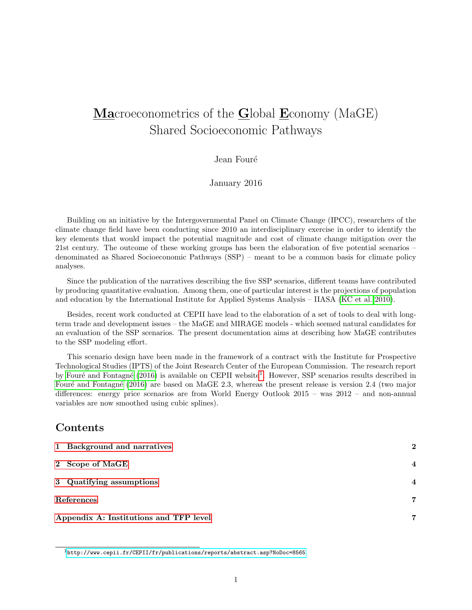# Macroeconometrics of the Global Economy (MaGE) Shared Socioeconomic Pathways

#### Jean Fouré

January 2016

Building on an initiative by the Intergovernmental Panel on Climate Change (IPCC), researchers of the climate change field have been conducting since 2010 an interdisciplinary exercise in order to identify the key elements that would impact the potential magnitude and cost of climate change mitigation over the 21st century. The outcome of these working groups has been the elaboration of five potential scenarios – denominated as Shared Socioeconomic Pathways (SSP) – meant to be a common basis for climate policy analyses.

Since the publication of the narratives describing the five SSP scenarios, different teams have contributed by producing quantitative evaluation. Among them, one of particular interest is the projections of population and education by the International Institute for Applied Systems Analysis – IIASA [\(KC et al. 2010\)](#page-6-0).

Besides, recent work conducted at CEPII have lead to the elaboration of a set of tools to deal with longterm trade and development issues – the MaGE and MIRAGE models - which seemed natural candidates for an evaluation of the SSP scenarios. The present documentation aims at describing how MaGE contributes to the SSP modeling effort.

This scenario design have been made in the framework of a contract with the Institute for Prospective Technological Studies (IPTS) of the Joint Research Center of the European Commission. The research report by Fouré and Fontagné [\(2016\)](#page-6-1) is available on CEPII website<sup>[1](#page-0-0)</sup>. However, SSP scenarios results described in Fouré and Fontagné [\(2016\)](#page-6-1) are based on MaGE 2.3, whereas the present release is version 2.4 (two major differences: energy price scenarios are from World Energy Outlook 2015 – was 2012 – and non-annual variables are now smoothed using cubic splines).

#### Contents

| 1 Background and narratives            | 2              |  |
|----------------------------------------|----------------|--|
| 2 Scope of MaGE                        | $\overline{4}$ |  |
| 3 Quatifying assumptions               | $\overline{4}$ |  |
| References                             |                |  |
| Appendix A: Institutions and TFP level | 7              |  |

<span id="page-0-0"></span><sup>1</sup><http://www.cepii.fr/CEPII/fr/publications/reports/abstract.asp?NoDoc=8565>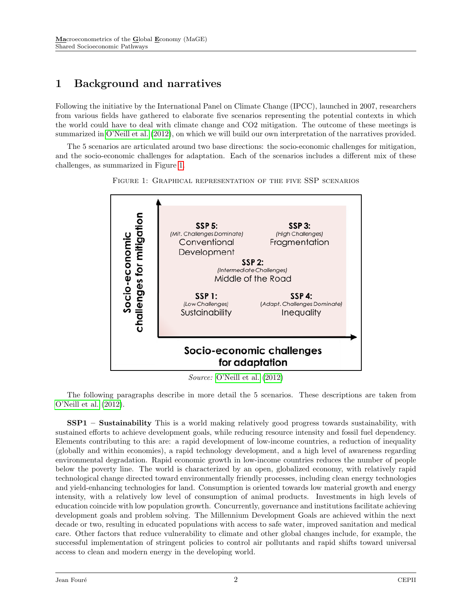## <span id="page-1-0"></span>1 Background and narratives

Following the initiative by the International Panel on Climate Change (IPCC), launched in 2007, researchers from various fields have gathered to elaborate five scenarios representing the potential contexts in which the world could have to deal with climate change and CO2 mitigation. The outcome of these meetings is summarized in [O'Neill et al.](#page-6-4) [\(2012\)](#page-6-4), on which we will build our own interpretation of the narratives provided.

<span id="page-1-1"></span>The 5 scenarios are articulated around two base directions: the socio-economic challenges for mitigation, and the socio-economic challenges for adaptation. Each of the scenarios includes a different mix of these challenges, as summarized in Figure [1.](#page-1-1)



Figure 1: Graphical representation of the five SSP scenarios

Source: [O'Neill et al.](#page-6-4) [\(2012\)](#page-6-4)

The following paragraphs describe in more detail the 5 scenarios. These descriptions are taken from [O'Neill et al.](#page-6-4) [\(2012\)](#page-6-4).

SSP1 – Sustainability This is a world making relatively good progress towards sustainability, with sustained efforts to achieve development goals, while reducing resource intensity and fossil fuel dependency. Elements contributing to this are: a rapid development of low-income countries, a reduction of inequality (globally and within economies), a rapid technology development, and a high level of awareness regarding environmental degradation. Rapid economic growth in low-income countries reduces the number of people below the poverty line. The world is characterized by an open, globalized economy, with relatively rapid technological change directed toward environmentally friendly processes, including clean energy technologies and yield-enhancing technologies for land. Consumption is oriented towards low material growth and energy intensity, with a relatively low level of consumption of animal products. Investments in high levels of education coincide with low population growth. Concurrently, governance and institutions facilitate achieving development goals and problem solving. The Millennium Development Goals are achieved within the next decade or two, resulting in educated populations with access to safe water, improved sanitation and medical care. Other factors that reduce vulnerability to climate and other global changes include, for example, the successful implementation of stringent policies to control air pollutants and rapid shifts toward universal access to clean and modern energy in the developing world.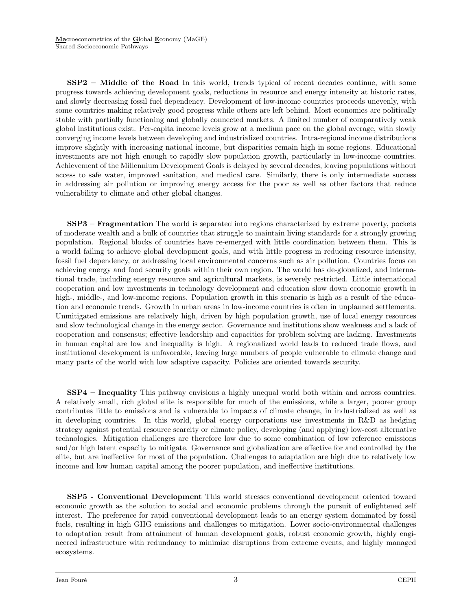SSP2 – Middle of the Road In this world, trends typical of recent decades continue, with some progress towards achieving development goals, reductions in resource and energy intensity at historic rates, and slowly decreasing fossil fuel dependency. Development of low-income countries proceeds unevenly, with some countries making relatively good progress while others are left behind. Most economies are politically stable with partially functioning and globally connected markets. A limited number of comparatively weak global institutions exist. Per-capita income levels grow at a medium pace on the global average, with slowly converging income levels between developing and industrialized countries. Intra-regional income distributions improve slightly with increasing national income, but disparities remain high in some regions. Educational investments are not high enough to rapidly slow population growth, particularly in low-income countries. Achievement of the Millennium Development Goals is delayed by several decades, leaving populations without access to safe water, improved sanitation, and medical care. Similarly, there is only intermediate success in addressing air pollution or improving energy access for the poor as well as other factors that reduce vulnerability to climate and other global changes.

SSP3 – Fragmentation The world is separated into regions characterized by extreme poverty, pockets of moderate wealth and a bulk of countries that struggle to maintain living standards for a strongly growing population. Regional blocks of countries have re-emerged with little coordination between them. This is a world failing to achieve global development goals, and with little progress in reducing resource intensity, fossil fuel dependency, or addressing local environmental concerns such as air pollution. Countries focus on achieving energy and food security goals within their own region. The world has de-globalized, and international trade, including energy resource and agricultural markets, is severely restricted. Little international cooperation and low investments in technology development and education slow down economic growth in high-, middle-, and low-income regions. Population growth in this scenario is high as a result of the education and economic trends. Growth in urban areas in low-income countries is often in unplanned settlements. Unmitigated emissions are relatively high, driven by high population growth, use of local energy resources and slow technological change in the energy sector. Governance and institutions show weakness and a lack of cooperation and consensus; effective leadership and capacities for problem solving are lacking. Investments in human capital are low and inequality is high. A regionalized world leads to reduced trade flows, and institutional development is unfavorable, leaving large numbers of people vulnerable to climate change and many parts of the world with low adaptive capacity. Policies are oriented towards security.

SSP4 – Inequality This pathway envisions a highly unequal world both within and across countries. A relatively small, rich global elite is responsible for much of the emissions, while a larger, poorer group contributes little to emissions and is vulnerable to impacts of climate change, in industrialized as well as in developing countries. In this world, global energy corporations use investments in R&D as hedging strategy against potential resource scarcity or climate policy, developing (and applying) low-cost alternative technologies. Mitigation challenges are therefore low due to some combination of low reference emissions and/or high latent capacity to mitigate. Governance and globalization are effective for and controlled by the elite, but are ineffective for most of the population. Challenges to adaptation are high due to relatively low income and low human capital among the poorer population, and ineffective institutions.

SSP5 - Conventional Development This world stresses conventional development oriented toward economic growth as the solution to social and economic problems through the pursuit of enlightened self interest. The preference for rapid conventional development leads to an energy system dominated by fossil fuels, resulting in high GHG emissions and challenges to mitigation. Lower socio-environmental challenges to adaptation result from attainment of human development goals, robust economic growth, highly engineered infrastructure with redundancy to minimize disruptions from extreme events, and highly managed ecosystems.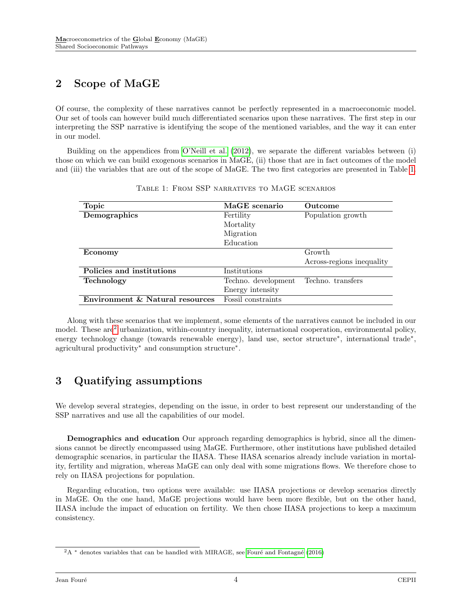### <span id="page-3-0"></span>2 Scope of MaGE

Of course, the complexity of these narratives cannot be perfectly represented in a macroeconomic model. Our set of tools can however build much differentiated scenarios upon these narratives. The first step in our interpreting the SSP narrative is identifying the scope of the mentioned variables, and the way it can enter in our model.

Building on the appendices from [O'Neill et al.](#page-6-4) [\(2012\)](#page-6-4), we separate the different variables between (i) those on which we can build exogenous scenarios in MaGE, (ii) those that are in fact outcomes of the model and (iii) the variables that are out of the scope of MaGE. The two first categories are presented in Table [1.](#page-3-2)

<span id="page-3-2"></span>

| <b>Topic</b>                    | MaGE scenario       | Outcome                   |  |
|---------------------------------|---------------------|---------------------------|--|
| Demographics                    | Fertility           | Population growth         |  |
|                                 | Mortality           |                           |  |
|                                 | Migration           |                           |  |
|                                 | Education           |                           |  |
| Economy                         |                     | Growth                    |  |
|                                 |                     | Across-regions inequality |  |
| Policies and institutions       | Institutions        |                           |  |
| <b>Technology</b>               | Techno. development | Techno. transfers         |  |
|                                 | Energy intensity    |                           |  |
| Environment & Natural resources | Fossil constraints  |                           |  |

Table 1: From SSP narratives to MaGE scenarios

Along with these scenarios that we implement, some elements of the narratives cannot be included in our model. These are<sup>[2](#page-3-3)</sup> urbanization, within-country inequality, international cooperation, environmental policy, energy technology change (towards renewable energy), land use, sector structure<sup>\*</sup>, international trade<sup>\*</sup>, agricultural productivity<sup>∗</sup> and consumption structure<sup>∗</sup> .

### <span id="page-3-1"></span>3 Quatifying assumptions

We develop several strategies, depending on the issue, in order to best represent our understanding of the SSP narratives and use all the capabilities of our model.

Demographics and education Our approach regarding demographics is hybrid, since all the dimensions cannot be directly encompassed using MaGE. Furthermore, other institutions have published detailed demographic scenarios, in particular the IIASA. These IIASA scenarios already include variation in mortality, fertility and migration, whereas MaGE can only deal with some migrations flows. We therefore chose to rely on IIASA projections for population.

Regarding education, two options were available: use IIASA projections or develop scenarios directly in MaGE. On the one hand, MaGE projections would have been more flexible, but on the other hand, IIASA include the impact of education on fertility. We then chose IIASA projections to keep a maximum consistency.

<span id="page-3-3"></span> $2A^*$  denotes variables that can be handled with MIRAGE, see Fouré and Fontagné [\(2016\)](#page-6-1)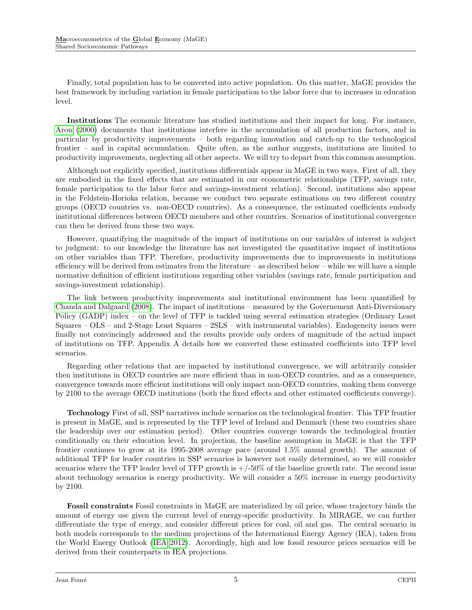Finally, total population has to be converted into active population. On this matter, MaGE provides the best framework by including variation in female participation to the labor force due to increases in education level.

Institutions The economic literature has studied institutions and their impact for long. For instance, [Aron](#page-6-5) [\(2000\)](#page-6-5) documents that institutions interfere in the accumulation of all production factors, and in particular by productivity improvements – both regarding innovation and catch-up to the technological frontier – and in capital accumulation. Quite often, as the author suggests, institutions are limited to productivity improvements, neglecting all other aspects. We will try to depart from this common assumption.

Although not explicitly specified, institutions differentials appear in MaGE in two ways. First of all, they are embodied in the fixed effects that are estimated in our econometric relationships (TFP, savings rate, female participation to the labor force and savings-investment relation). Second, institutions also appear in the Feldstein-Horioka relation, because we conduct two separate estimations on two different country groups (OECD countries vs. non-OECD countries). As a consequence, the estimated coefficients embody institutional differences between OECD members and other countries. Scenarios of institutional convergence can then be derived from these two ways.

However, quantifying the magnitude of the impact of institutions on our variables of interest is subject to judgment: to our knowledge the literature has not investigated the quantitative impact of institutions on other variables than TFP. Therefore, productivity improvements due to improvements in institutions efficiency will be derived from estimates from the literature – as described below – while we will have a simple normative definition of efficient institutions regarding other variables (savings rate, female participation and savings-investment relationship).

The link between productivity improvements and institutional environment has been quantified by [Chanda and Dalgaard](#page-6-6) [\(2008\)](#page-6-6). The impact of institutions – measured by the Governement Anti-Diversionary Policy (GADP) index – on the level of TFP is tackled using several estimation strategies (Ordinary Least Squares – OLS – and 2-Stage Least Squares – 2SLS – with instrumental variables). Endogeneity issues were finally not convincingly addressed and the results provide only orders of magnitude of the actual impact of institutions on TFP. Appendix A details how we converted these estimated coefficients into TFP level scenarios.

Regarding other relations that are impacted by institutional convergence, we will arbitrarily consider then institutions in OECD countries are more efficient than in non-OECD countries, and as a consequence, convergence towards more efficient institutions will only impact non-OECD countries, making them converge by 2100 to the average OECD institutions (both the fixed effects and other estimated coefficients converge).

Technology First of all, SSP narratives include scenarios on the technological frontier. This TFP frontier is present in MaGE, and is represented by the TFP level of Ireland and Denmark (these two countries share the leadership over our estimation period). Other countries converge towards the technological frontier conditionally on their education level. In projection, the baseline assumption in MaGE is that the TFP frontier continues to grow at its 1995-2008 average pace (around 1.5% annual growth). The amount of additional TFP for leader countries in SSP scenarios is however not easily determined, so we will consider scenarios where the TFP leader level of TFP growth is  $+/-50\%$  of the baseline growth rate. The second issue about technology scenarios is energy productivity. We will consider a 50% increase in energy productivity by 2100.

Fossil constraints Fossil constraints in MaGE are materialized by oil price, whose trajectory binds the amount of energy use given the current level of energy-specific productivity. In MIRAGE, we can further differentiate the type of energy, and consider different prices for coal, oil and gas. The central scenario in both models corresponds to the medium projections of the International Energy Agency (IEA), taken from the World Energy Outlook [\(IEA 2012\)](#page-6-7). Accordingly, high and low fossil resource prices scenarios will be derived from their counterparts in IEA projections.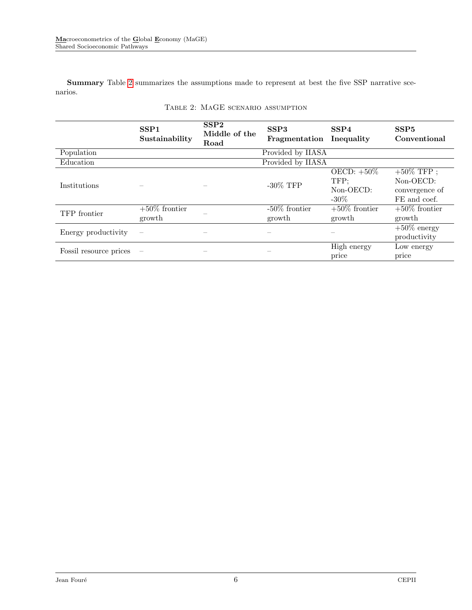Summary Table [2](#page-5-0) summarizes the assumptions made to represent at best the five SSP narrative scenarios.

<span id="page-5-0"></span>

|                        | SSP <sub>1</sub><br>Sustainability | SSP <sub>2</sub><br>Middle of the<br>Road | SSP <sub>3</sub><br>Fragmentation | SSP <sub>4</sub><br>Inequality                   | SSP <sub>5</sub><br>Conventional                             |
|------------------------|------------------------------------|-------------------------------------------|-----------------------------------|--------------------------------------------------|--------------------------------------------------------------|
| Population             |                                    |                                           | Provided by IIASA                 |                                                  |                                                              |
| Education              |                                    |                                           | Provided by IIASA                 |                                                  |                                                              |
| Institutions           |                                    |                                           | $-30\%$ TFP                       | OECD: $+50\%$<br>TFP;<br>$Non-OECD$ :<br>$-30\%$ | $+50\%$ TFP ;<br>Non-OECD:<br>convergence of<br>FE and coef. |
| TFP frontier           | $+50\%$ frontier<br>growth         |                                           | $-50\%$ frontier<br>growth        | $+50\%$ frontier<br>growth                       | $+50\%$ frontier<br>growth                                   |
| Energy productivity    | $\overbrace{\phantom{12322111}}$   |                                           |                                   |                                                  | $+50\%$ energy<br>productivity                               |
| Fossil resource prices |                                    |                                           |                                   | High energy<br>price                             | Low energy<br>price                                          |

#### Table 2: MaGE scenario assumption